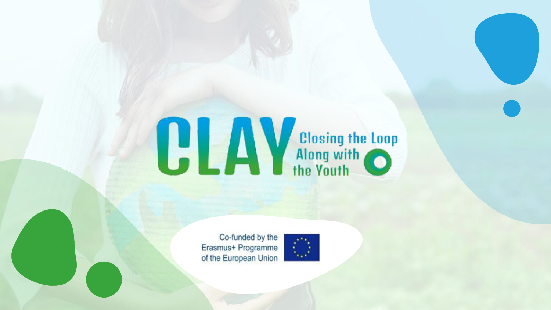# **CLAV** Closing the Loop

Co-funded by the Erasmus+ Programme of the European Union

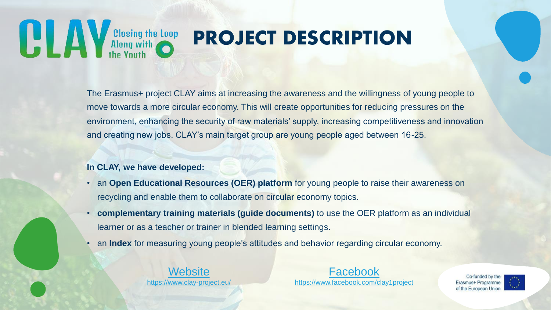**All only Allong with Conduct Conduct Conduct Conduct Conduct Conduct Conduct Conduct Conduct Conduct Conduct Conduct Conduct Conduct Conduct Conduct Conduct Conduct Conduct Conduct Conduct Conduct Conduct Conduct Conduct** 

# PROJECT DESCRIPTION

The Erasmus+ project CLAY aims at increasing the awareness and the willingness of young people to move towards a more circular economy. This will create opportunities for reducing pressures on the environment, enhancing the security of raw materials' supply, increasing competitiveness and innovation and creating new jobs. CLAY's main target group are young people aged between 16-25.

#### **In CLAY, we have developed:**

- an **Open Educational Resources (OER) platform** for young people to raise their awareness on recycling and enable them to collaborate on circular economy topics.
- **complementary training materials (guide documents)** to use the OER platform as an individual learner or as a teacher or trainer in blended learning settings.
- an **Index** for measuring young people's attitudes and behavior regarding circular economy.

[Website](https://www.clay-project.eu/) <https://www.clay-project.eu/>

[Facebook](https://www.facebook.com/clay1project) <https://www.facebook.com/clay1project>

Co-funded by th Erasmus+ Programme of the European Unior

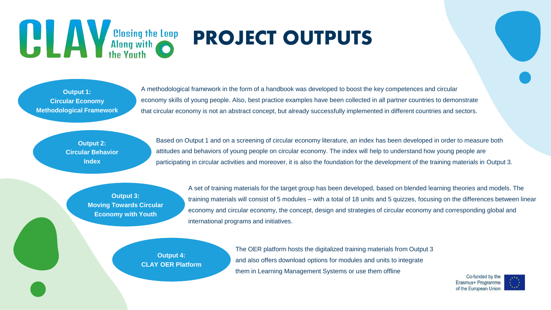# **Example 18 Mars 19 Mars 19 Mars 19 Mars 19 Mars 19 Mars 19 Mars 19 Mars 19 Mars 19 Mars 19 Mars 19 Mars 19 Mars 19 Mars 19 Mars 19 Mars 19 Mars 19 Mars 19 Mars 19 Mars 19 Mars 19 Mars 19 Mars 19 Mars 19 Mars 19 Mars 19 Ma**

# PROJECT OUTPUTS

**Output 1: Circular Economy Methodological Framework**

A methodological framework in the form of a handbook was developed to boost the key competences and circular economy skills of young people. Also, best practice examples have been collected in all partner countries to demonstrate that circular economy is not an abstract concept, but already successfully implemented in different countries and sectors.

**Output 2: Circular Behavior Index**

Based on Output 1 and on a screening of circular economy literature, an index has been developed in order to measure both attitudes and behaviors of young people on circular economy. The index will help to understand how young people are participating in circular activities and moreover, it is also the foundation for the development of the training materials in Output 3.

**Output 3: Moving Towards Circular Economy with Youth**

A set of training materials for the target group has been developed, based on blended learning theories and models. The training materials will consist of 5 modules – with a total of 18 units and 5 quizzes, focusing on the differences between linear economy and circular economy, the concept, design and strategies of circular economy and corresponding global and international programs and initiatives.

**Output 4: CLAY OER Platform** The OER platform hosts the digitalized training materials from Output 3 and also offers download options for modules and units to integrate them in Learning Management Systems or use them offline

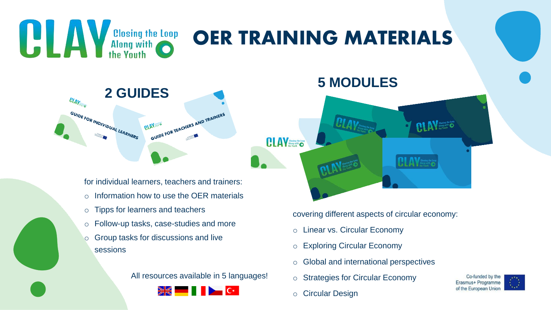

- o Tipps for learners and teachers
- o Follow-up tasks, case-studies and more
- o Group tasks for discussions and live sessions

All resources available in 5 languages!



covering different aspects of circular economy:

- o Linear vs. Circular Economy
- o Exploring Circular Economy
- o Global and international perspectives
- o Strategies for Circular Economy
- o Circular Design

Co-funded by the Erasmus+ Programme of the European Union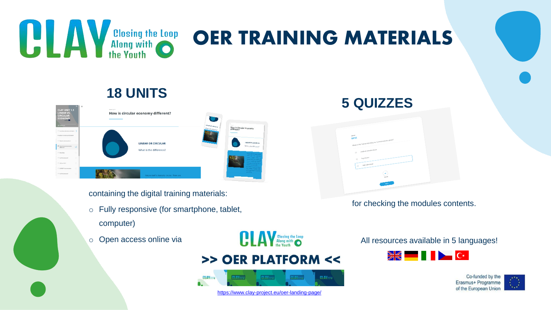

### OER TRAINING MATERIALS

### **18 UNITS**

| <b>CLAY UNIT 1.1</b><br><b>LINEAR VS.</b><br><b>CIRCULAR</b><br><b>ECONOMY</b><br><b><i>EN COMPLETE</i></b> | $\alpha$ | $\equiv$<br>Lesson 2 of 71<br>How is circular economy different? | $\overline{\phantom{a}}$<br>LINEAR OR CIRCULAR | <b>MARINER</b>                        |                                                            |
|-------------------------------------------------------------------------------------------------------------|----------|------------------------------------------------------------------|------------------------------------------------|---------------------------------------|------------------------------------------------------------|
| Learning outcomes and topics<br>* LINEAR VS. CIRCULAR ECONOMY                                               |          |                                                                  | What is the difference?                        | How is circular economy<br>different? |                                                            |
| Waste is all argumtus!<br><sup>En</sup> How is circular economy<br>different?                               | $\circ$  |                                                                  | <b>LINEAR OR CIRCULAR</b>                      |                                       | <b>LINEAR OR CIRCUI</b><br>What is the different           |
| Recycling                                                                                                   |          |                                                                  | What is the difference?                        |                                       | <b>March State Law Co.</b><br>the contractor               |
| Surf the internet!                                                                                          | $\circ$  |                                                                  |                                                |                                       | <b>Charles Card</b>                                        |
| $C2G$ or C2C?                                                                                               | $\circ$  |                                                                  |                                                |                                       | of the Day President and<br><b>Committee of Contractor</b> |
| DISRUPTive innovation                                                                                       | $\circ$  |                                                                  |                                                |                                       | <b>Alle School of Allen</b>                                |
| Surf the Internet!                                                                                          | $\circ$  |                                                                  | Nature itself is basically circular. There are |                                       | <b>Street of School State</b><br><b>MARGARETS</b>          |

containing the digital training materials:

- o Fully responsive (for smart[phone, tablet,](https://www.clay-project.eu/oer-landing-page/)  computer)
- o Open access online via

**CLAV** Slosing the Loop >> OER PLATFORM <<



#### <https://www.clay-project.eu/oer-landing-page/>

#### **5 QUIZZES**



for checking the modules contents.

All resources available in 5 languages!